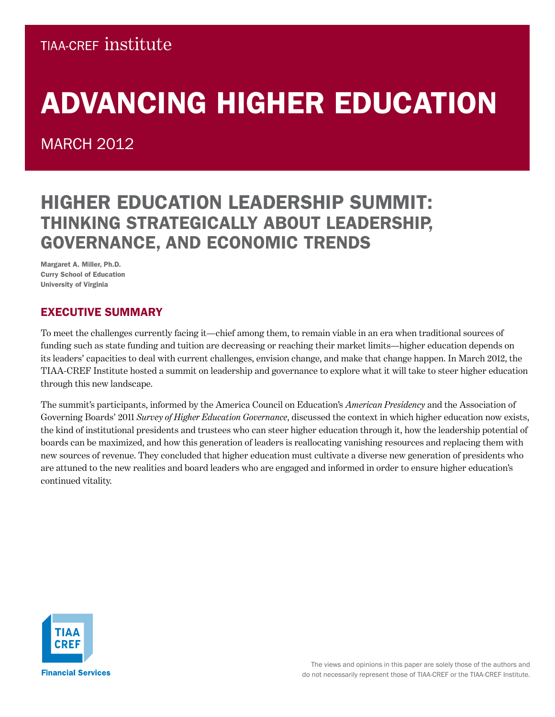### **TIAA-CREF INSTITUTE**

# ADVANCING HIGHER EDUCATION

MARCH 2012

## Higher Education Leadership Summit: Thinking Strategically about Leadership, Governance, and Economic Trends

Margaret A. Miller, Ph.D. Curry School of Education University of Virginia

### Executive Summary

To meet the challenges currently facing it—chief among them, to remain viable in an era when traditional sources of funding such as state funding and tuition are decreasing or reaching their market limits—higher education depends on its leaders' capacities to deal with current challenges, envision change, and make that change happen. In March 2012, the TIAA-CREF Institute hosted a summit on leadership and governance to explore what it will take to steer higher education through this new landscape.

The summit's participants, informed by the America Council on Education's *American Presidency* and the Association of Governing Boards' 2011 *Survey of Higher Education Governance*, discussed the context in which higher education now exists, the kind of institutional presidents and trustees who can steer higher education through it, how the leadership potential of boards can be maximized, and how this generation of leaders is reallocating vanishing resources and replacing them with new sources of revenue. They concluded that higher education must cultivate a diverse new generation of presidents who are attuned to the new realities and board leaders who are engaged and informed in order to ensure higher education's continued vitality.

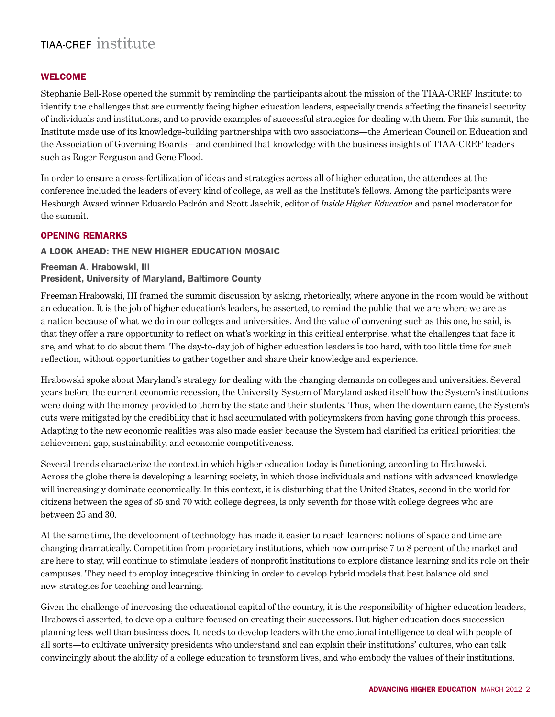#### **WELCOME**

Stephanie Bell-Rose opened the summit by reminding the participants about the mission of the TIAA-CREF Institute: to identify the challenges that are currently facing higher education leaders, especially trends affecting the financial security of individuals and institutions, and to provide examples of successful strategies for dealing with them. For this summit, the Institute made use of its knowledge-building partnerships with two associations—the American Council on Education and the Association of Governing Boards—and combined that knowledge with the business insights of TIAA-CREF leaders such as Roger Ferguson and Gene Flood.

In order to ensure a cross-fertilization of ideas and strategies across all of higher education, the attendees at the conference included the leaders of every kind of college, as well as the Institute's fellows. Among the participants were Hesburgh Award winner Eduardo Padrón and Scott Jaschik, editor of *Inside Higher Education* and panel moderator for the summit.

#### Opening Remarks

#### A Look Ahead: The New Higher Education Mosaic

### Freeman A. Hrabowski, III President, University of Maryland, Baltimore County

Freeman Hrabowski, III framed the summit discussion by asking, rhetorically, where anyone in the room would be without an education. It is the job of higher education's leaders, he asserted, to remind the public that we are where we are as a nation because of what we do in our colleges and universities. And the value of convening such as this one, he said, is that they offer a rare opportunity to reflect on what's working in this critical enterprise, what the challenges that face it are, and what to do about them. The day-to-day job of higher education leaders is too hard, with too little time for such reflection, without opportunities to gather together and share their knowledge and experience.

Hrabowski spoke about Maryland's strategy for dealing with the changing demands on colleges and universities. Several years before the current economic recession, the University System of Maryland asked itself how the System's institutions were doing with the money provided to them by the state and their students. Thus, when the downturn came, the System's cuts were mitigated by the credibility that it had accumulated with policymakers from having gone through this process. Adapting to the new economic realities was also made easier because the System had clarified its critical priorities: the achievement gap, sustainability, and economic competitiveness.

Several trends characterize the context in which higher education today is functioning, according to Hrabowski. Across the globe there is developing a learning society, in which those individuals and nations with advanced knowledge will increasingly dominate economically. In this context, it is disturbing that the United States, second in the world for citizens between the ages of 35 and 70 with college degrees, is only seventh for those with college degrees who are between 25 and 30.

At the same time, the development of technology has made it easier to reach learners: notions of space and time are changing dramatically. Competition from proprietary institutions, which now comprise 7 to 8 percent of the market and are here to stay, will continue to stimulate leaders of nonprofit institutions to explore distance learning and its role on their campuses. They need to employ integrative thinking in order to develop hybrid models that best balance old and new strategies for teaching and learning.

Given the challenge of increasing the educational capital of the country, it is the responsibility of higher education leaders, Hrabowski asserted, to develop a culture focused on creating their successors. But higher education does succession planning less well than business does. It needs to develop leaders with the emotional intelligence to deal with people of all sorts—to cultivate university presidents who understand and can explain their institutions' cultures, who can talk convincingly about the ability of a college education to transform lives, and who embody the values of their institutions.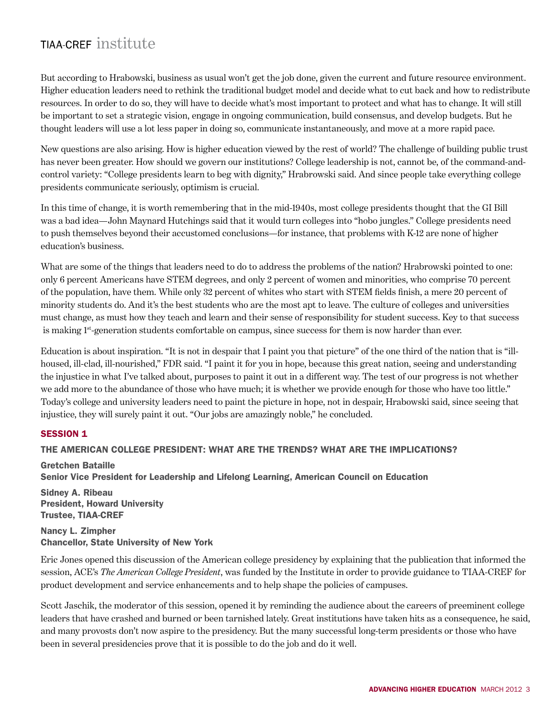But according to Hrabowski, business as usual won't get the job done, given the current and future resource environment. Higher education leaders need to rethink the traditional budget model and decide what to cut back and how to redistribute resources. In order to do so, they will have to decide what's most important to protect and what has to change. It will still be important to set a strategic vision, engage in ongoing communication, build consensus, and develop budgets. But he thought leaders will use a lot less paper in doing so, communicate instantaneously, and move at a more rapid pace.

New questions are also arising. How is higher education viewed by the rest of world? The challenge of building public trust has never been greater. How should we govern our institutions? College leadership is not, cannot be, of the command-andcontrol variety: "College presidents learn to beg with dignity," Hrabrowski said. And since people take everything college presidents communicate seriously, optimism is crucial.

In this time of change, it is worth remembering that in the mid-1940s, most college presidents thought that the GI Bill was a bad idea—John Maynard Hutchings said that it would turn colleges into "hobo jungles." College presidents need to push themselves beyond their accustomed conclusions—for instance, that problems with K-12 are none of higher education's business.

What are some of the things that leaders need to do to address the problems of the nation? Hrabrowski pointed to one: only 6 percent Americans have STEM degrees, and only 2 percent of women and minorities, who comprise 70 percent of the population, have them. While only 32 percent of whites who start with STEM fields finish, a mere 20 percent of minority students do. And it's the best students who are the most apt to leave. The culture of colleges and universities must change, as must how they teach and learn and their sense of responsibility for student success. Key to that success is making 1<sup>st</sup>-generation students comfortable on campus, since success for them is now harder than ever.

Education is about inspiration. "It is not in despair that I paint you that picture" of the one third of the nation that is "illhoused, ill-clad, ill-nourished," FDR said. "I paint it for you in hope, because this great nation, seeing and understanding the injustice in what I've talked about, purposes to paint it out in a different way. The test of our progress is not whether we add more to the abundance of those who have much; it is whether we provide enough for those who have too little." Today's college and university leaders need to paint the picture in hope, not in despair, Hrabowski said, since seeing that injustice, they will surely paint it out. "Our jobs are amazingly noble," he concluded.

#### **SESSION 1**

#### The American College President: What Are the Trends? What Are the Implications?

Gretchen Bataille Senior Vice President for Leadership and Lifelong Learning, American Council on Education

Sidney A. Ribeau President, Howard University Trustee, TIAA-CREF

Nancy L. Zimpher Chancellor, State University of New York

Eric Jones opened this discussion of the American college presidency by explaining that the publication that informed the session, ACE's *The American College President*, was funded by the Institute in order to provide guidance to TIAA-CREF for product development and service enhancements and to help shape the policies of campuses.

Scott Jaschik, the moderator of this session, opened it by reminding the audience about the careers of preeminent college leaders that have crashed and burned or been tarnished lately. Great institutions have taken hits as a consequence, he said, and many provosts don't now aspire to the presidency. But the many successful long-term presidents or those who have been in several presidencies prove that it is possible to do the job and do it well.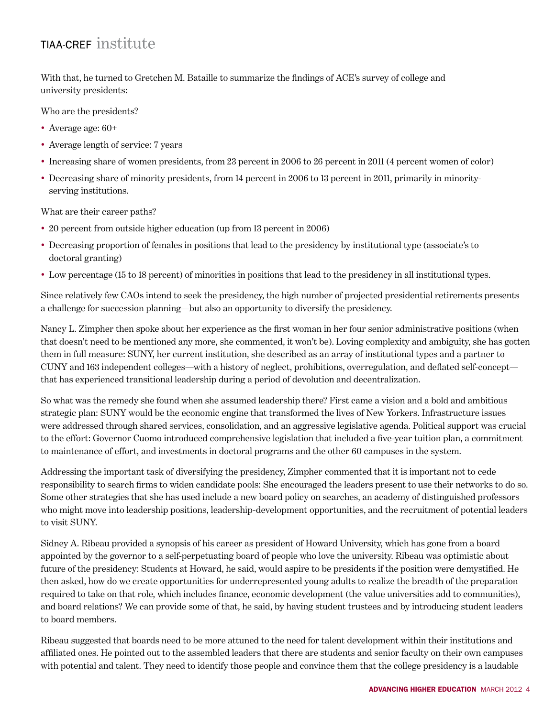With that, he turned to Gretchen M. Bataille to summarize the findings of ACE's survey of college and university presidents:

Who are the presidents?

- Average age:  $60+$
- Average length of service: 7 years
- Increasing share of women presidents, from 23 percent in 2006 to 26 percent in 2011 (4 percent women of color)
- Decreasing share of minority presidents, from 14 percent in 2006 to 13 percent in 2011, primarily in minorityserving institutions.

What are their career paths?

- 20 percent from outside higher education (up from 13 percent in 2006)
- Decreasing proportion of females in positions that lead to the presidency by institutional type (associate's to doctoral granting)
- Low percentage (15 to 18 percent) of minorities in positions that lead to the presidency in all institutional types.

Since relatively few CAOs intend to seek the presidency, the high number of projected presidential retirements presents a challenge for succession planning—but also an opportunity to diversify the presidency.

Nancy L. Zimpher then spoke about her experience as the first woman in her four senior administrative positions (when that doesn't need to be mentioned any more, she commented, it won't be). Loving complexity and ambiguity, she has gotten them in full measure: SUNY, her current institution, she described as an array of institutional types and a partner to CUNY and 163 independent colleges—with a history of neglect, prohibitions, overregulation, and deflated self-concept that has experienced transitional leadership during a period of devolution and decentralization.

So what was the remedy she found when she assumed leadership there? First came a vision and a bold and ambitious strategic plan: SUNY would be the economic engine that transformed the lives of New Yorkers. Infrastructure issues were addressed through shared services, consolidation, and an aggressive legislative agenda. Political support was crucial to the effort: Governor Cuomo introduced comprehensive legislation that included a five-year tuition plan, a commitment to maintenance of effort, and investments in doctoral programs and the other 60 campuses in the system.

Addressing the important task of diversifying the presidency, Zimpher commented that it is important not to cede responsibility to search firms to widen candidate pools: She encouraged the leaders present to use their networks to do so. Some other strategies that she has used include a new board policy on searches, an academy of distinguished professors who might move into leadership positions, leadership-development opportunities, and the recruitment of potential leaders to visit SUNY.

Sidney A. Ribeau provided a synopsis of his career as president of Howard University, which has gone from a board appointed by the governor to a self-perpetuating board of people who love the university. Ribeau was optimistic about future of the presidency: Students at Howard, he said, would aspire to be presidents if the position were demystified. He then asked, how do we create opportunities for underrepresented young adults to realize the breadth of the preparation required to take on that role, which includes finance, economic development (the value universities add to communities), and board relations? We can provide some of that, he said, by having student trustees and by introducing student leaders to board members.

Ribeau suggested that boards need to be more attuned to the need for talent development within their institutions and affiliated ones. He pointed out to the assembled leaders that there are students and senior faculty on their own campuses with potential and talent. They need to identify those people and convince them that the college presidency is a laudable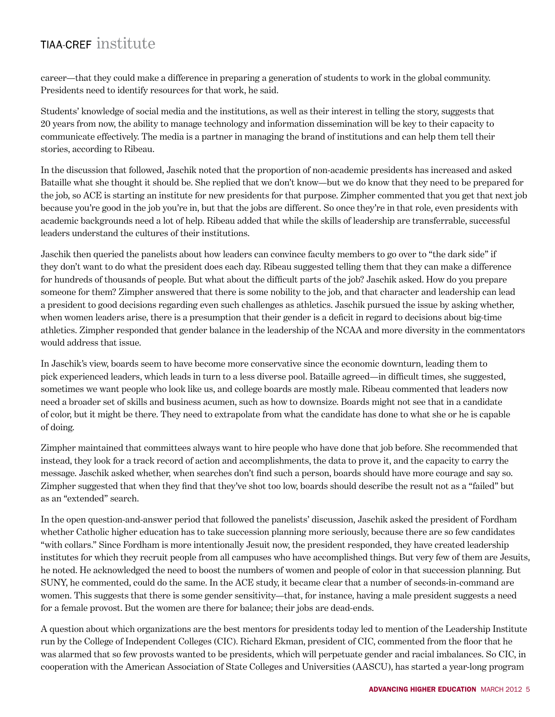career—that they could make a difference in preparing a generation of students to work in the global community. Presidents need to identify resources for that work, he said.

Students' knowledge of social media and the institutions, as well as their interest in telling the story, suggests that 20 years from now, the ability to manage technology and information dissemination will be key to their capacity to communicate effectively. The media is a partner in managing the brand of institutions and can help them tell their stories, according to Ribeau.

In the discussion that followed, Jaschik noted that the proportion of non-academic presidents has increased and asked Bataille what she thought it should be. She replied that we don't know—but we do know that they need to be prepared for the job, so ACE is starting an institute for new presidents for that purpose. Zimpher commented that you get that next job because you're good in the job you're in, but that the jobs are different. So once they're in that role, even presidents with academic backgrounds need a lot of help. Ribeau added that while the skills of leadership are transferrable, successful leaders understand the cultures of their institutions.

Jaschik then queried the panelists about how leaders can convince faculty members to go over to "the dark side" if they don't want to do what the president does each day. Ribeau suggested telling them that they can make a difference for hundreds of thousands of people. But what about the difficult parts of the job? Jaschik asked. How do you prepare someone for them? Zimpher answered that there is some nobility to the job, and that character and leadership can lead a president to good decisions regarding even such challenges as athletics. Jaschik pursued the issue by asking whether, when women leaders arise, there is a presumption that their gender is a deficit in regard to decisions about big-time athletics. Zimpher responded that gender balance in the leadership of the NCAA and more diversity in the commentators would address that issue.

In Jaschik's view, boards seem to have become more conservative since the economic downturn, leading them to pick experienced leaders, which leads in turn to a less diverse pool. Bataille agreed—in difficult times, she suggested, sometimes we want people who look like us, and college boards are mostly male. Ribeau commented that leaders now need a broader set of skills and business acumen, such as how to downsize. Boards might not see that in a candidate of color, but it might be there. They need to extrapolate from what the candidate has done to what she or he is capable of doing.

Zimpher maintained that committees always want to hire people who have done that job before. She recommended that instead, they look for a track record of action and accomplishments, the data to prove it, and the capacity to carry the message. Jaschik asked whether, when searches don't find such a person, boards should have more courage and say so. Zimpher suggested that when they find that they've shot too low, boards should describe the result not as a "failed" but as an "extended" search.

In the open question-and-answer period that followed the panelists' discussion, Jaschik asked the president of Fordham whether Catholic higher education has to take succession planning more seriously, because there are so few candidates "with collars." Since Fordham is more intentionally Jesuit now, the president responded, they have created leadership institutes for which they recruit people from all campuses who have accomplished things. But very few of them are Jesuits, he noted. He acknowledged the need to boost the numbers of women and people of color in that succession planning. But SUNY, he commented, could do the same. In the ACE study, it became clear that a number of seconds-in-command are women. This suggests that there is some gender sensitivity—that, for instance, having a male president suggests a need for a female provost. But the women are there for balance; their jobs are dead-ends.

A question about which organizations are the best mentors for presidents today led to mention of the Leadership Institute run by the College of Independent Colleges (CIC). Richard Ekman, president of CIC, commented from the floor that he was alarmed that so few provosts wanted to be presidents, which will perpetuate gender and racial imbalances. So CIC, in cooperation with the American Association of State Colleges and Universities (AASCU), has started a year-long program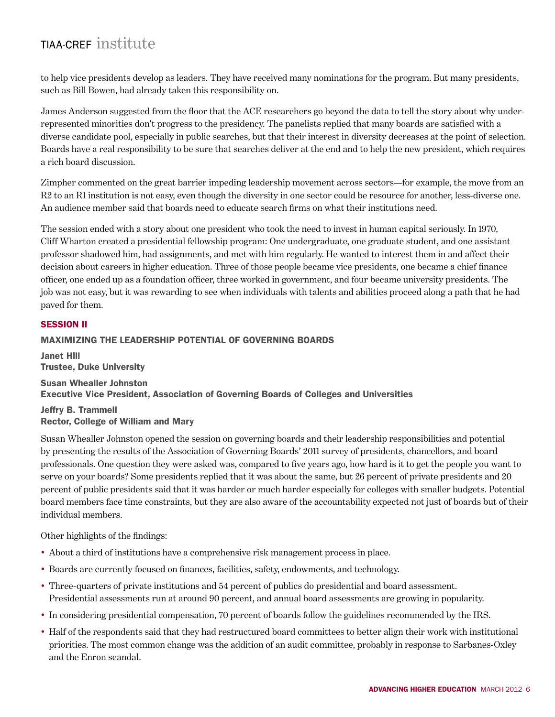to help vice presidents develop as leaders. They have received many nominations for the program. But many presidents, such as Bill Bowen, had already taken this responsibility on.

James Anderson suggested from the floor that the ACE researchers go beyond the data to tell the story about why underrepresented minorities don't progress to the presidency. The panelists replied that many boards are satisfied with a diverse candidate pool, especially in public searches, but that their interest in diversity decreases at the point of selection. Boards have a real responsibility to be sure that searches deliver at the end and to help the new president, which requires a rich board discussion.

Zimpher commented on the great barrier impeding leadership movement across sectors—for example, the move from an R2 to an R1 institution is not easy, even though the diversity in one sector could be resource for another, less-diverse one. An audience member said that boards need to educate search firms on what their institutions need.

The session ended with a story about one president who took the need to invest in human capital seriously. In 1970, Cliff Wharton created a presidential fellowship program: One undergraduate, one graduate student, and one assistant professor shadowed him, had assignments, and met with him regularly. He wanted to interest them in and affect their decision about careers in higher education. Three of those people became vice presidents, one became a chief finance officer, one ended up as a foundation officer, three worked in government, and four became university presidents. The job was not easy, but it was rewarding to see when individuals with talents and abilities proceed along a path that he had paved for them.

### **SESSION II**

#### Maximizing the Leadership Potential of Governing Boards

Janet Hill Trustee, Duke University Susan Whealler Johnston Executive Vice President, Association of Governing Boards of Colleges and Universities

#### Jeffry B. Trammell Rector, College of William and Mary

Susan Whealler Johnston opened the session on governing boards and their leadership responsibilities and potential by presenting the results of the Association of Governing Boards' 2011 survey of presidents, chancellors, and board professionals. One question they were asked was, compared to five years ago, how hard is it to get the people you want to serve on your boards? Some presidents replied that it was about the same, but 26 percent of private presidents and 20 percent of public presidents said that it was harder or much harder especially for colleges with smaller budgets. Potential board members face time constraints, but they are also aware of the accountability expected not just of boards but of their individual members.

Other highlights of the findings:

- About a third of institutions have a comprehensive risk management process in place.
- Boards are currently focused on finances, facilities, safety, endowments, and technology.
- Three-quarters of private institutions and 54 percent of publics do presidential and board assessment. Presidential assessments run at around 90 percent, and annual board assessments are growing in popularity.
- In considering presidential compensation, 70 percent of boards follow the guidelines recommended by the IRS.
- Half of the respondents said that they had restructured board committees to better align their work with institutional priorities. The most common change was the addition of an audit committee, probably in response to Sarbanes-Oxley and the Enron scandal.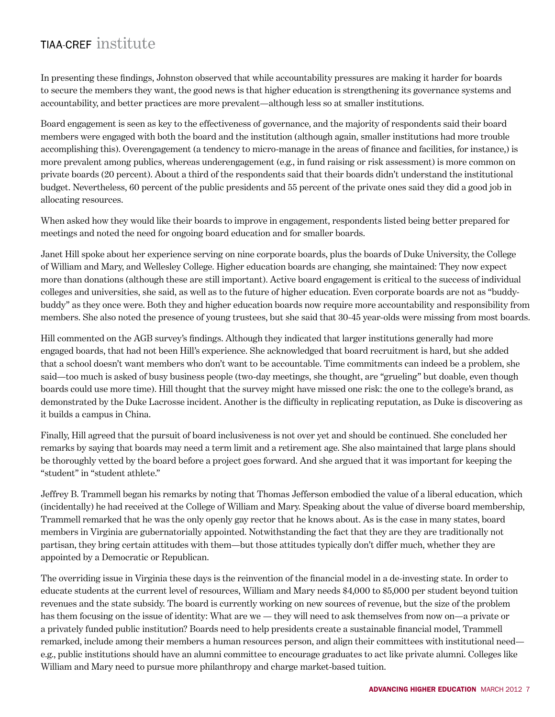In presenting these findings, Johnston observed that while accountability pressures are making it harder for boards to secure the members they want, the good news is that higher education is strengthening its governance systems and accountability, and better practices are more prevalent—although less so at smaller institutions.

Board engagement is seen as key to the effectiveness of governance, and the majority of respondents said their board members were engaged with both the board and the institution (although again, smaller institutions had more trouble accomplishing this). Overengagement (a tendency to micro-manage in the areas of finance and facilities, for instance,) is more prevalent among publics, whereas underengagement (e.g., in fund raising or risk assessment) is more common on private boards (20 percent). About a third of the respondents said that their boards didn't understand the institutional budget. Nevertheless, 60 percent of the public presidents and 55 percent of the private ones said they did a good job in allocating resources.

When asked how they would like their boards to improve in engagement, respondents listed being better prepared for meetings and noted the need for ongoing board education and for smaller boards.

Janet Hill spoke about her experience serving on nine corporate boards, plus the boards of Duke University, the College of William and Mary, and Wellesley College. Higher education boards are changing, she maintained: They now expect more than donations (although these are still important). Active board engagement is critical to the success of individual colleges and universities, she said, as well as to the future of higher education. Even corporate boards are not as "buddybuddy" as they once were. Both they and higher education boards now require more accountability and responsibility from members. She also noted the presence of young trustees, but she said that 30-45 year-olds were missing from most boards.

Hill commented on the AGB survey's findings. Although they indicated that larger institutions generally had more engaged boards, that had not been Hill's experience. She acknowledged that board recruitment is hard, but she added that a school doesn't want members who don't want to be accountable. Time commitments can indeed be a problem, she said—too much is asked of busy business people (two-day meetings, she thought, are "grueling" but doable, even though boards could use more time). Hill thought that the survey might have missed one risk: the one to the college's brand, as demonstrated by the Duke Lacrosse incident. Another is the difficulty in replicating reputation, as Duke is discovering as it builds a campus in China.

Finally, Hill agreed that the pursuit of board inclusiveness is not over yet and should be continued. She concluded her remarks by saying that boards may need a term limit and a retirement age. She also maintained that large plans should be thoroughly vetted by the board before a project goes forward. And she argued that it was important for keeping the "student" in "student athlete."

Jeffrey B. Trammell began his remarks by noting that Thomas Jefferson embodied the value of a liberal education, which (incidentally) he had received at the College of William and Mary. Speaking about the value of diverse board membership, Trammell remarked that he was the only openly gay rector that he knows about. As is the case in many states, board members in Virginia are gubernatorially appointed. Notwithstanding the fact that they are they are traditionally not partisan, they bring certain attitudes with them—but those attitudes typically don't differ much, whether they are appointed by a Democratic or Republican.

The overriding issue in Virginia these days is the reinvention of the financial model in a de-investing state. In order to educate students at the current level of resources, William and Mary needs \$4,000 to \$5,000 per student beyond tuition revenues and the state subsidy. The board is currently working on new sources of revenue, but the size of the problem has them focusing on the issue of identity: What are we — they will need to ask themselves from now on—a private or a privately funded public institution? Boards need to help presidents create a sustainable financial model, Trammell remarked, include among their members a human resources person, and align their committees with institutional need e.g., public institutions should have an alumni committee to encourage graduates to act like private alumni. Colleges like William and Mary need to pursue more philanthropy and charge market-based tuition.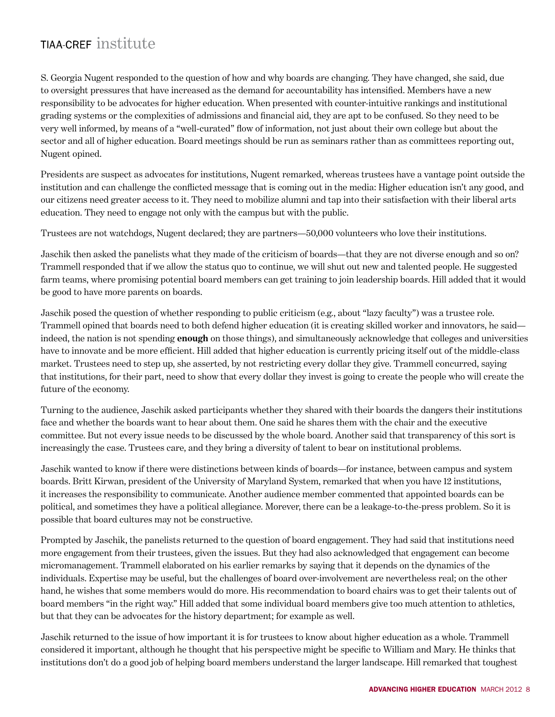S. Georgia Nugent responded to the question of how and why boards are changing. They have changed, she said, due to oversight pressures that have increased as the demand for accountability has intensified. Members have a new responsibility to be advocates for higher education. When presented with counter-intuitive rankings and institutional grading systems or the complexities of admissions and financial aid, they are apt to be confused. So they need to be very well informed, by means of a "well-curated" flow of information, not just about their own college but about the sector and all of higher education. Board meetings should be run as seminars rather than as committees reporting out, Nugent opined.

Presidents are suspect as advocates for institutions, Nugent remarked, whereas trustees have a vantage point outside the institution and can challenge the conflicted message that is coming out in the media: Higher education isn't any good, and our citizens need greater access to it. They need to mobilize alumni and tap into their satisfaction with their liberal arts education. They need to engage not only with the campus but with the public.

Trustees are not watchdogs, Nugent declared; they are partners—50,000 volunteers who love their institutions.

Jaschik then asked the panelists what they made of the criticism of boards—that they are not diverse enough and so on? Trammell responded that if we allow the status quo to continue, we will shut out new and talented people. He suggested farm teams, where promising potential board members can get training to join leadership boards. Hill added that it would be good to have more parents on boards.

Jaschik posed the question of whether responding to public criticism (e.g., about "lazy faculty") was a trustee role. Trammell opined that boards need to both defend higher education (it is creating skilled worker and innovators, he said indeed, the nation is not spending **enough** on those things), and simultaneously acknowledge that colleges and universities have to innovate and be more efficient. Hill added that higher education is currently pricing itself out of the middle-class market. Trustees need to step up, she asserted, by not restricting every dollar they give. Trammell concurred, saying that institutions, for their part, need to show that every dollar they invest is going to create the people who will create the future of the economy.

Turning to the audience, Jaschik asked participants whether they shared with their boards the dangers their institutions face and whether the boards want to hear about them. One said he shares them with the chair and the executive committee. But not every issue needs to be discussed by the whole board. Another said that transparency of this sort is increasingly the case. Trustees care, and they bring a diversity of talent to bear on institutional problems.

Jaschik wanted to know if there were distinctions between kinds of boards—for instance, between campus and system boards. Britt Kirwan, president of the University of Maryland System, remarked that when you have 12 institutions, it increases the responsibility to communicate. Another audience member commented that appointed boards can be political, and sometimes they have a political allegiance. Morever, there can be a leakage-to-the-press problem. So it is possible that board cultures may not be constructive.

Prompted by Jaschik, the panelists returned to the question of board engagement. They had said that institutions need more engagement from their trustees, given the issues. But they had also acknowledged that engagement can become micromanagement. Trammell elaborated on his earlier remarks by saying that it depends on the dynamics of the individuals. Expertise may be useful, but the challenges of board over-involvement are nevertheless real; on the other hand, he wishes that some members would do more. His recommendation to board chairs was to get their talents out of board members "in the right way." Hill added that some individual board members give too much attention to athletics, but that they can be advocates for the history department; for example as well.

Jaschik returned to the issue of how important it is for trustees to know about higher education as a whole. Trammell considered it important, although he thought that his perspective might be specific to William and Mary. He thinks that institutions don't do a good job of helping board members understand the larger landscape. Hill remarked that toughest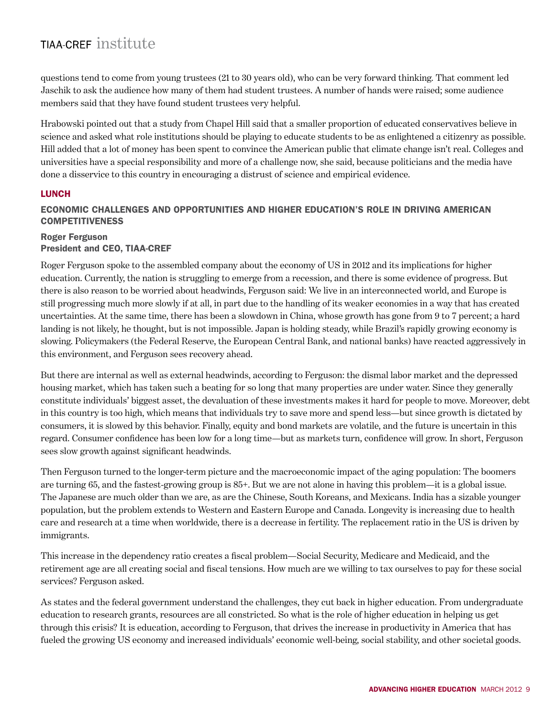questions tend to come from young trustees (21 to 30 years old), who can be very forward thinking. That comment led Jaschik to ask the audience how many of them had student trustees. A number of hands were raised; some audience members said that they have found student trustees very helpful.

Hrabowski pointed out that a study from Chapel Hill said that a smaller proportion of educated conservatives believe in science and asked what role institutions should be playing to educate students to be as enlightened a citizenry as possible. Hill added that a lot of money has been spent to convince the American public that climate change isn't real. Colleges and universities have a special responsibility and more of a challenge now, she said, because politicians and the media have done a disservice to this country in encouraging a distrust of science and empirical evidence.

#### **LUNCH**

### Economic Challenges and Opportunities and Higher Education's Role in Driving American **COMPETITIVENESS**

#### Roger Ferguson President and CEO, TIAA-CREF

Roger Ferguson spoke to the assembled company about the economy of US in 2012 and its implications for higher education. Currently, the nation is struggling to emerge from a recession, and there is some evidence of progress. But there is also reason to be worried about headwinds, Ferguson said: We live in an interconnected world, and Europe is still progressing much more slowly if at all, in part due to the handling of its weaker economies in a way that has created uncertainties. At the same time, there has been a slowdown in China, whose growth has gone from 9 to 7 percent; a hard landing is not likely, he thought, but is not impossible. Japan is holding steady, while Brazil's rapidly growing economy is slowing. Policymakers (the Federal Reserve, the European Central Bank, and national banks) have reacted aggressively in this environment, and Ferguson sees recovery ahead.

But there are internal as well as external headwinds, according to Ferguson: the dismal labor market and the depressed housing market, which has taken such a beating for so long that many properties are under water. Since they generally constitute individuals' biggest asset, the devaluation of these investments makes it hard for people to move. Moreover, debt in this country is too high, which means that individuals try to save more and spend less—but since growth is dictated by consumers, it is slowed by this behavior. Finally, equity and bond markets are volatile, and the future is uncertain in this regard. Consumer confidence has been low for a long time—but as markets turn, confidence will grow. In short, Ferguson sees slow growth against significant headwinds.

Then Ferguson turned to the longer-term picture and the macroeconomic impact of the aging population: The boomers are turning 65, and the fastest-growing group is 85+. But we are not alone in having this problem—it is a global issue. The Japanese are much older than we are, as are the Chinese, South Koreans, and Mexicans. India has a sizable younger population, but the problem extends to Western and Eastern Europe and Canada. Longevity is increasing due to health care and research at a time when worldwide, there is a decrease in fertility. The replacement ratio in the US is driven by immigrants.

This increase in the dependency ratio creates a fiscal problem—Social Security, Medicare and Medicaid, and the retirement age are all creating social and fiscal tensions. How much are we willing to tax ourselves to pay for these social services? Ferguson asked.

As states and the federal government understand the challenges, they cut back in higher education. From undergraduate education to research grants, resources are all constricted. So what is the role of higher education in helping us get through this crisis? It is education, according to Ferguson, that drives the increase in productivity in America that has fueled the growing US economy and increased individuals' economic well-being, social stability, and other societal goods.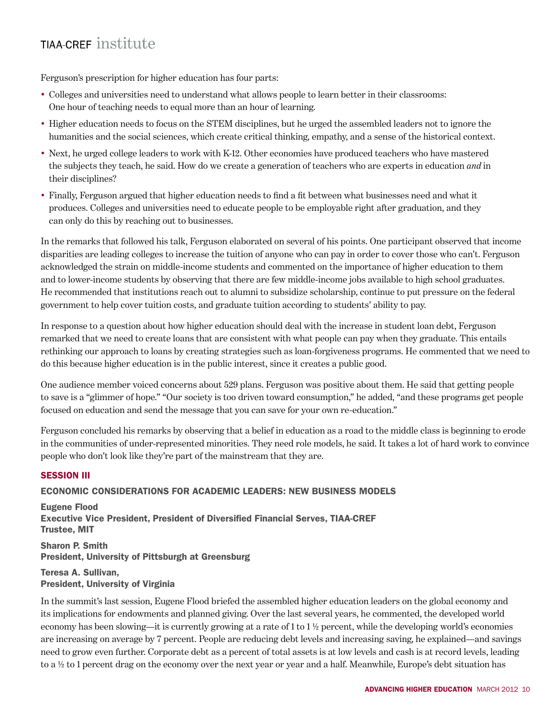Ferguson's prescription for higher education has four parts:

- Colleges and universities need to understand what allows people to learn better in their classrooms: One hour of teaching needs to equal more than an hour of learning.
- Higher education needs to focus on the STEM disciplines, but he urged the assembled leaders not to ignore the humanities and the social sciences, which create critical thinking, empathy, and a sense of the historical context.
- Next, he urged college leaders to work with K-12. Other economies have produced teachers who have mastered the subjects they teach, he said. How do we create a generation of teachers who are experts in education *and* in their disciplines?
- Finally, Ferguson argued that higher education needs to find a fit between what businesses need and what it produces. Colleges and universities need to educate people to be employable right after graduation, and they can only do this by reaching out to businesses.

In the remarks that followed his talk, Ferguson elaborated on several of his points. One participant observed that income disparities are leading colleges to increase the tuition of anyone who can pay in order to cover those who can't. Ferguson acknowledged the strain on middle-income students and commented on the importance of higher education to them and to lower-income students by observing that there are few middle-income jobs available to high school graduates. He recommended that institutions reach out to alumni to subsidize scholarship, continue to put pressure on the federal government to help cover tuition costs, and graduate tuition according to students' ability to pay.

In response to a question about how higher education should deal with the increase in student loan debt, Ferguson remarked that we need to create loans that are consistent with what people can pay when they graduate. This entails rethinking our approach to loans by creating strategies such as loan-forgiveness programs. He commented that we need to do this because higher education is in the public interest, since it creates a public good.

One audience member voiced concerns about 529 plans. Ferguson was positive about them. He said that getting people to save is a "glimmer of hope." "Our society is too driven toward consumption," he added, "and these programs get people focused on education and send the message that you can save for your own re-education."

Ferguson concluded his remarks by observing that a belief in education as a road to the middle class is beginning to erode in the communities of under-represented minorities. They need role models, he said. It takes a lot of hard work to convince people who don't look like they're part of the mainstream that they are.

#### Session III

#### Economic Considerations for Academic Leaders: New Business Models

Eugene Flood Executive Vice President, President of Diversified Financial Serves, TIAA-CREF Trustee, MIT

Sharon P. Smith President, University of Pittsburgh at Greensburg

#### Teresa A. Sullivan, President, University of Virginia

In the summit's last session, Eugene Flood briefed the assembled higher education leaders on the global economy and its implications for endowments and planned giving. Over the last several years, he commented, the developed world economy has been slowing—it is currently growing at a rate of  $1$  to  $1\frac{1}{2}$  percent, while the developing world's economies are increasing on average by 7 percent. People are reducing debt levels and increasing saving, he explained—and savings need to grow even further. Corporate debt as a percent of total assets is at low levels and cash is at record levels, leading to a ½ to 1 percent drag on the economy over the next year or year and a half. Meanwhile, Europe's debt situation has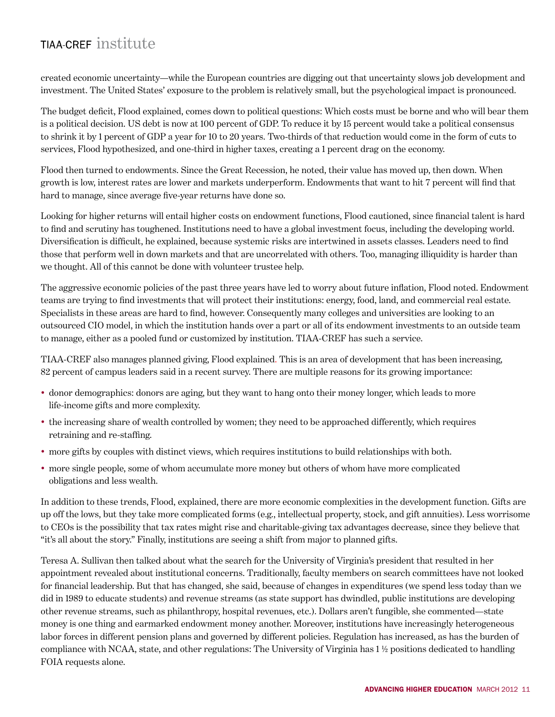created economic uncertainty—while the European countries are digging out that uncertainty slows job development and investment. The United States' exposure to the problem is relatively small, but the psychological impact is pronounced.

The budget deficit, Flood explained, comes down to political questions: Which costs must be borne and who will bear them is a political decision. US debt is now at 100 percent of GDP. To reduce it by 15 percent would take a political consensus to shrink it by 1 percent of GDP a year for 10 to 20 years. Two-thirds of that reduction would come in the form of cuts to services, Flood hypothesized, and one-third in higher taxes, creating a 1 percent drag on the economy.

Flood then turned to endowments. Since the Great Recession, he noted, their value has moved up, then down. When growth is low, interest rates are lower and markets underperform. Endowments that want to hit 7 percent will find that hard to manage, since average five-year returns have done so.

Looking for higher returns will entail higher costs on endowment functions, Flood cautioned, since financial talent is hard to find and scrutiny has toughened. Institutions need to have a global investment focus, including the developing world. Diversification is difficult, he explained, because systemic risks are intertwined in assets classes. Leaders need to find those that perform well in down markets and that are uncorrelated with others. Too, managing illiquidity is harder than we thought. All of this cannot be done with volunteer trustee help.

The aggressive economic policies of the past three years have led to worry about future inflation, Flood noted. Endowment teams are trying to find investments that will protect their institutions: energy, food, land, and commercial real estate. Specialists in these areas are hard to find, however. Consequently many colleges and universities are looking to an outsourced CIO model, in which the institution hands over a part or all of its endowment investments to an outside team to manage, either as a pooled fund or customized by institution. TIAA-CREF has such a service.

TIAA-CREF also manages planned giving, Flood explained. This is an area of development that has been increasing, 82 percent of campus leaders said in a recent survey. There are multiple reasons for its growing importance:

- donor demographics: donors are aging, but they want to hang onto their money longer, which leads to more life-income gifts and more complexity.
- the increasing share of wealth controlled by women; they need to be approached differently, which requires retraining and re-staffing.
- more gifts by couples with distinct views, which requires institutions to build relationships with both.
- more single people, some of whom accumulate more money but others of whom have more complicated obligations and less wealth.

In addition to these trends, Flood, explained, there are more economic complexities in the development function. Gifts are up off the lows, but they take more complicated forms (e.g., intellectual property, stock, and gift annuities). Less worrisome to CEOs is the possibility that tax rates might rise and charitable-giving tax advantages decrease, since they believe that "it's all about the story." Finally, institutions are seeing a shift from major to planned gifts.

Teresa A. Sullivan then talked about what the search for the University of Virginia's president that resulted in her appointment revealed about institutional concerns. Traditionally, faculty members on search committees have not looked for financial leadership. But that has changed, she said, because of changes in expenditures (we spend less today than we did in 1989 to educate students) and revenue streams (as state support has dwindled, public institutions are developing other revenue streams, such as philanthropy, hospital revenues, etc.). Dollars aren't fungible, she commented—state money is one thing and earmarked endowment money another. Moreover, institutions have increasingly heterogeneous labor forces in different pension plans and governed by different policies. Regulation has increased, as has the burden of compliance with NCAA, state, and other regulations: The University of Virginia has 1 ½ positions dedicated to handling FOIA requests alone.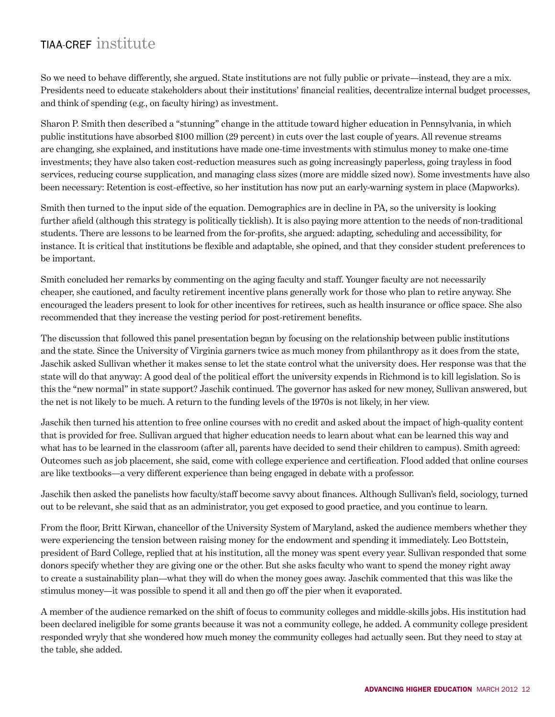So we need to behave differently, she argued. State institutions are not fully public or private—instead, they are a mix. Presidents need to educate stakeholders about their institutions' financial realities, decentralize internal budget processes, and think of spending (e.g., on faculty hiring) as investment.

Sharon P. Smith then described a "stunning" change in the attitude toward higher education in Pennsylvania, in which public institutions have absorbed \$100 million (29 percent) in cuts over the last couple of years. All revenue streams are changing, she explained, and institutions have made one-time investments with stimulus money to make one-time investments; they have also taken cost-reduction measures such as going increasingly paperless, going trayless in food services, reducing course supplication, and managing class sizes (more are middle sized now). Some investments have also been necessary: Retention is cost-effective, so her institution has now put an early-warning system in place (Mapworks).

Smith then turned to the input side of the equation. Demographics are in decline in PA, so the university is looking further afield (although this strategy is politically ticklish). It is also paying more attention to the needs of non-traditional students. There are lessons to be learned from the for-profits, she argued: adapting, scheduling and accessibility, for instance. It is critical that institutions be flexible and adaptable, she opined, and that they consider student preferences to be important.

Smith concluded her remarks by commenting on the aging faculty and staff. Younger faculty are not necessarily cheaper, she cautioned, and faculty retirement incentive plans generally work for those who plan to retire anyway. She encouraged the leaders present to look for other incentives for retirees, such as health insurance or office space. She also recommended that they increase the vesting period for post-retirement benefits.

The discussion that followed this panel presentation began by focusing on the relationship between public institutions and the state. Since the University of Virginia garners twice as much money from philanthropy as it does from the state, Jaschik asked Sullivan whether it makes sense to let the state control what the university does. Her response was that the state will do that anyway: A good deal of the political effort the university expends in Richmond is to kill legislation. So is this the "new normal" in state support? Jaschik continued. The governor has asked for new money, Sullivan answered, but the net is not likely to be much. A return to the funding levels of the 1970s is not likely, in her view.

Jaschik then turned his attention to free online courses with no credit and asked about the impact of high-quality content that is provided for free. Sullivan argued that higher education needs to learn about what can be learned this way and what has to be learned in the classroom (after all, parents have decided to send their children to campus). Smith agreed: Outcomes such as job placement, she said, come with college experience and certification. Flood added that online courses are like textbooks—a very different experience than being engaged in debate with a professor.

Jaschik then asked the panelists how faculty/staff become savvy about finances. Although Sullivan's field, sociology, turned out to be relevant, she said that as an administrator, you get exposed to good practice, and you continue to learn.

From the floor, Britt Kirwan, chancellor of the University System of Maryland, asked the audience members whether they were experiencing the tension between raising money for the endowment and spending it immediately. Leo Bottstein, president of Bard College, replied that at his institution, all the money was spent every year. Sullivan responded that some donors specify whether they are giving one or the other. But she asks faculty who want to spend the money right away to create a sustainability plan—what they will do when the money goes away. Jaschik commented that this was like the stimulus money—it was possible to spend it all and then go off the pier when it evaporated.

A member of the audience remarked on the shift of focus to community colleges and middle-skills jobs. His institution had been declared ineligible for some grants because it was not a community college, he added. A community college president responded wryly that she wondered how much money the community colleges had actually seen. But they need to stay at the table, she added.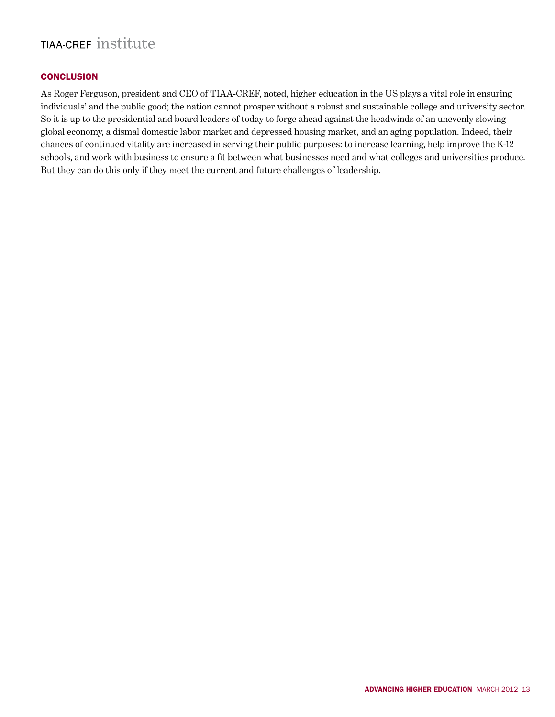### **CONCLUSION**

As Roger Ferguson, president and CEO of TIAA-CREF, noted, higher education in the US plays a vital role in ensuring individuals' and the public good; the nation cannot prosper without a robust and sustainable college and university sector. So it is up to the presidential and board leaders of today to forge ahead against the headwinds of an unevenly slowing global economy, a dismal domestic labor market and depressed housing market, and an aging population. Indeed, their chances of continued vitality are increased in serving their public purposes: to increase learning, help improve the K-12 schools, and work with business to ensure a fit between what businesses need and what colleges and universities produce. But they can do this only if they meet the current and future challenges of leadership.